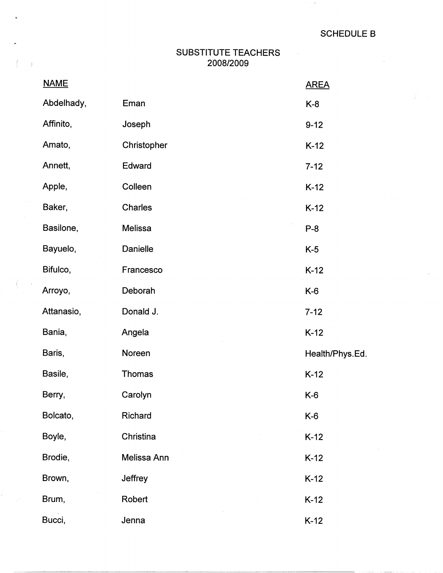$\pm$ 

## SUBSTITUTE TEACHERS 2008/2009

 $\sim$   $\sim$   $\lambda$ 

 $\sim$   $\,$ 

| <b>NAME</b> |                 | <b>AREA</b>     |
|-------------|-----------------|-----------------|
| Abdelhady,  | Eman            | $K-8$           |
| Affinito,   | Joseph          | $9 - 12$        |
| Amato,      | Christopher     | $K-12$          |
| Annett,     | Edward          | $7 - 12$        |
| Apple,      | Colleen         | $K-12$          |
| Baker,      | Charles         | $K-12$          |
| Basilone,   | Melissa         | $P-8$           |
| Bayuelo,    | <b>Danielle</b> | $K-5$           |
| Bifulco,    | Francesco       | $K-12$          |
| Arroyo,     | Deborah         | $K-6$           |
| Attanasio,  | Donald J.       | $7 - 12$        |
| Bania,      | Angela          | $K-12$          |
| Baris,      | Noreen          | Health/Phys.Ed. |
| Basile,     | <b>Thomas</b>   | $K-12$          |
| Berry,      | Carolyn         | $K-6$           |
| Bolcato,    | Richard         | $K-6$           |
| Boyle,      | Christina       | $K-12$          |
| Brodie,     | Melissa Ann     | $K-12$          |
| Brown,      | Jeffrey         | $K-12$          |
| Brum,       | Robert          | $K-12$          |
| Bucci,      | Jenna           | $K-12$          |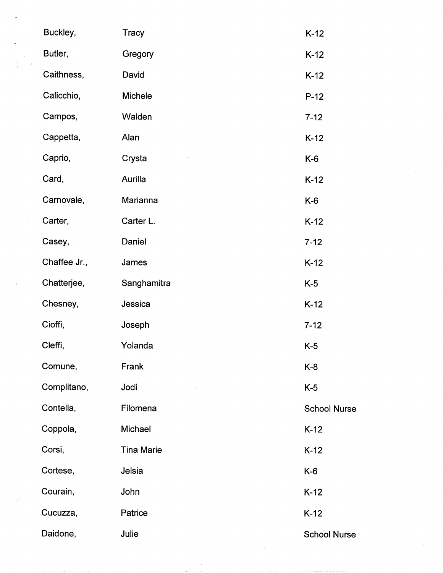|   | Buckley,     | <b>Tracy</b>      | $K-12$              |
|---|--------------|-------------------|---------------------|
|   | Butler,      | Gregory           | $K-12$              |
|   | Caithness,   | David             | $K-12$              |
|   | Calicchio,   | Michele           | $P-12$              |
|   | Campos,      | Walden            | $7 - 12$            |
|   | Cappetta,    | Alan              | $K-12$              |
|   | Caprio,      | Crysta            | K-6                 |
|   | Card,        | Aurilla           | $K-12$              |
|   | Carnovale,   | Marianna          | $K-6$               |
|   | Carter,      | Carter L.         | $K-12$              |
|   | Casey,       | Daniel            | $7 - 12$            |
|   | Chaffee Jr., | James             | $K-12$              |
| ť | Chatterjee,  | Sanghamitra       | $K-5$               |
|   | Chesney,     | Jessica           | $K-12$              |
|   | Cioffi,      | Joseph            | $7 - 12$            |
|   | Cleffi,      | Yolanda           | $K-5$               |
|   | Comune,      | Frank             | $K-8$               |
|   | Complitano,  | Jodi              | $K-5$               |
|   | Contella,    | Filomena          | <b>School Nurse</b> |
|   | Coppola,     | Michael           | $K-12$              |
|   | Corsi,       | <b>Tina Marie</b> | $K-12$              |
|   | Cortese,     | Jelsia            | $K-6$               |
|   | Courain,     | John              | $K-12$              |
|   | Cucuzza,     | Patrice           | $K-12$              |
|   | Daidone,     | Julie             | <b>School Nurse</b> |

 $\sim 10^{10}$  km s  $^{-1}$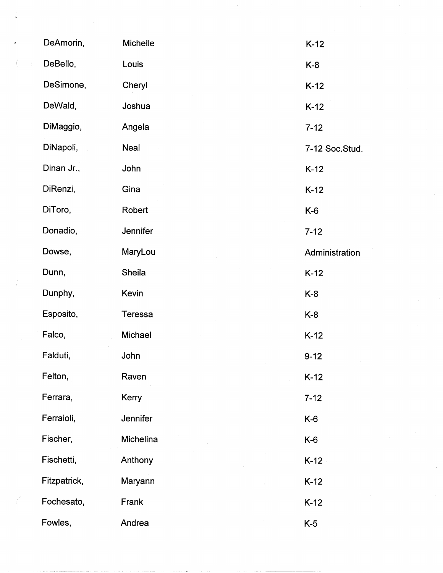| DeAmorin,    | Michelle         | $K-12$         |
|--------------|------------------|----------------|
| DeBello,     | Louis            | $K-8$          |
| DeSimone,    | Cheryl           | $K-12$         |
| DeWald,      | Joshua           | $K-12$         |
| DiMaggio,    | Angela           | $7 - 12$       |
| DiNapoli,    | <b>Neal</b>      | 7-12 Soc.Stud. |
| Dinan Jr.,   | John             | $K-12$         |
| DiRenzi,     | Gina             | $K-12$         |
| DiToro,      | Robert           | $K-6$          |
| Donadio,     | Jennifer         | $7 - 12$       |
| Dowse,       | MaryLou          | Administration |
| Dunn,        | Sheila           | $K-12$         |
| Dunphy,      | Kevin            | K-8            |
| Esposito,    | <b>Teressa</b>   | $K-8$          |
| Falco,       | Michael          | $K-12$         |
| Falduti,     | John             | $9 - 12$       |
| Felton,      | Raven            | $K-12$         |
| Ferrara,     | Kerry            | $7 - 12$       |
| Ferraioli,   | Jennifer         | $K-6$          |
| Fischer,     | <b>Michelina</b> | $K-6$          |
| Fischetti,   | Anthony          | $K-12$         |
| Fitzpatrick, | Maryann          | $K-12$         |
| Fochesato,   | Frank            | $K-12$         |
| Fowles,      | Andrea           | $K-5$          |

 $\frac{2}{\lambda_{\rm c}}$ 

 $\mathcal{L}(\mathcal{L})$ 

 $\label{eq:2.1} \mathcal{L}_{\text{max}}(\mathbf{y},\mathbf{y}) = \mathcal{L}_{\text{max}}(\mathbf{y},\mathbf{y}) = \mathcal{L}_{\text{max}}(\mathbf{y},\mathbf{y})$ 

 $\mathcal{L}_{\mathcal{A}}$ 

 $\frac{1}{\sqrt{2}}\sum_{i=1}^{n} \frac{1}{\sqrt{2}}\left(\frac{1}{\sqrt{2}}\right)^2\left(\frac{1}{\sqrt{2}}\right)^2$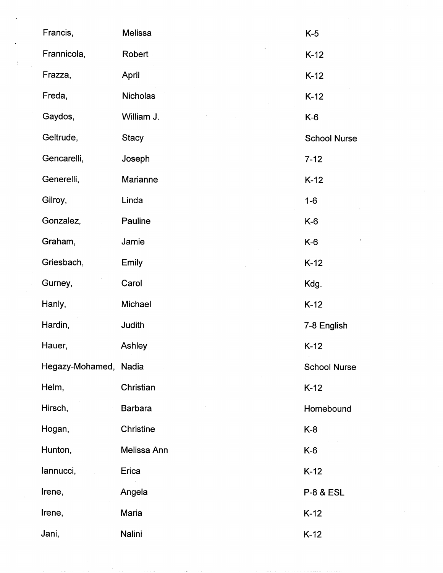| Francis,              | Melissa         | $K-5$                |
|-----------------------|-----------------|----------------------|
| Frannicola,           | Robert          | $K-12$               |
| Frazza,               | April           | $K-12$               |
| Freda,                | <b>Nicholas</b> | $K-12$               |
| Gaydos,               | William J.      | $K-6$                |
| Geltrude,             | <b>Stacy</b>    | <b>School Nurse</b>  |
| Gencarelli,           | Joseph          | $7 - 12$             |
| Generelli,            | Marianne        | $K-12$               |
| Gilroy,               | Linda           | $1-6$                |
| Gonzalez,             | Pauline         | $K-6$                |
| Graham,               | Jamie           | $K-6$                |
| Griesbach,            | Emily           | $K-12$               |
| Gurney,               | Carol           | Kdg.                 |
| Hanly,                | Michael         | $K-12$               |
| Hardin,               | Judith          | 7-8 English          |
| Hauer,                | Ashley          | $K-12$               |
| Hegazy-Mohamed, Nadia |                 | <b>School Nurse</b>  |
| Helm,                 | Christian       | $K-12$               |
| Hirsch,               | <b>Barbara</b>  | Homebound            |
| Hogan,                | Christine       | $K-8$                |
| Hunton,               | Melissa Ann     | $K-6$                |
| lannucci,             | Erica           | $K-12$               |
| Irene,                | Angela          | <b>P-8 &amp; ESL</b> |
| Irene,                | Maria           | $K-12$               |
| Jani,                 | Nalini          | $K-12$               |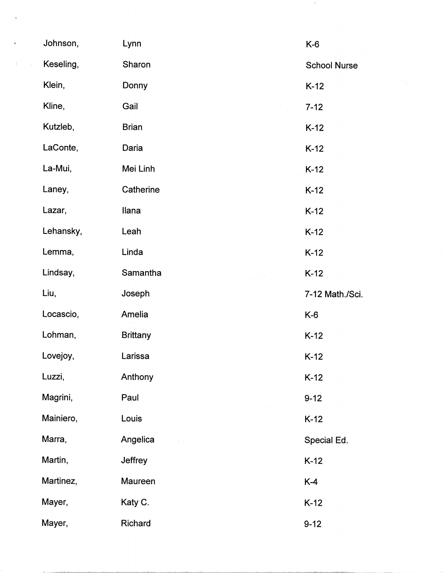| Johnson,  | Lynn            | $K-6$               |
|-----------|-----------------|---------------------|
| Keseling, | Sharon          | <b>School Nurse</b> |
| Klein,    | Donny           | $K-12$              |
| Kline,    | Gail            | $7 - 12$            |
| Kutzleb,  | <b>Brian</b>    | $K-12$              |
| LaConte,  | Daria           | $K-12$              |
| La-Mui,   | Mei Linh        | $K-12$              |
| Laney,    | Catherine       | $K-12$              |
| Lazar,    | Ilana           | $K-12$              |
| Lehansky, | Leah            | $K-12$              |
| Lemma,    | Linda           | $K-12$              |
| Lindsay,  | Samantha        | $K-12$              |
|           |                 |                     |
| Liu,      | Joseph          | 7-12 Math./Sci.     |
| Locascio, | Amelia          | $K-6$               |
| Lohman,   | <b>Brittany</b> | $K-12$              |
| Lovejoy,  | Larissa         | $K-12$              |
| Luzzi,    | Anthony         | $K-12$              |
| Magrini,  | Paul            | $9 - 12$            |
| Mainiero, | Louis           | $K-12$              |
| Marra,    | Angelica        | Special Ed.         |
| Martin,   | <b>Jeffrey</b>  | $K-12$              |
| Martinez, | <b>Maureen</b>  | $K-4$               |
| Mayer,    | Katy C.         | $K-12$              |

 $\hat{\boldsymbol{\theta}}$ 

 $\sim 10$ 

 $\label{eq:2} \frac{1}{\sqrt{2}}\left(\frac{1}{\sqrt{2}}\right)^{2} \left(\frac{1}{\sqrt{2}}\right)^{2} \left(\frac{1}{\sqrt{2}}\right)^{2} \left(\frac{1}{\sqrt{2}}\right)^{2}$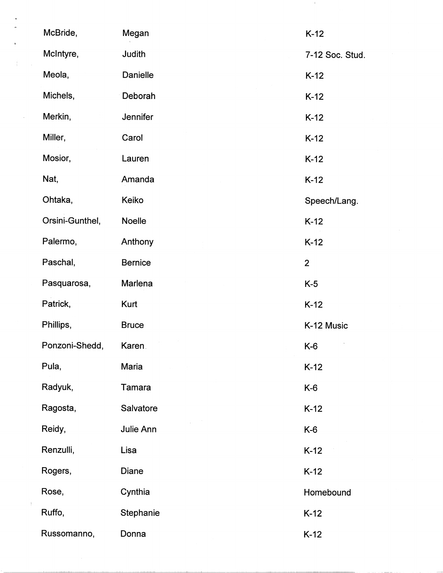| McBride,        | Megan          | $K-12$          |
|-----------------|----------------|-----------------|
| McIntyre,       | Judith         | 7-12 Soc. Stud. |
| Meola,          | Danielle       | $K-12$          |
| Michels,        | Deborah        | $K-12$          |
| Merkin,         | Jennifer       | $K-12$          |
| Miller,         | Carol          | $K-12$          |
| Mosior,         | Lauren         | $K-12$          |
| Nat,            | Amanda         | $K-12$          |
| Ohtaka,         | Keiko          | Speech/Lang.    |
| Orsini-Gunthel, | <b>Noelle</b>  | $K-12$          |
| Palermo,        | Anthony        | $K-12$          |
| Paschal,        | <b>Bernice</b> | $\overline{2}$  |
| Pasquarosa,     | Marlena        | $K-5$           |
| Patrick,        | Kurt           | $K-12$          |
| Phillips,       | <b>Bruce</b>   | K-12 Music      |
| Ponzoni-Shedd,  | Karen.         | $K-6$           |
| Pula,           | Maria          | $K-12$          |
| Radyuk,         | Tamara         | $K-6$           |
| Ragosta,        | Salvatore      | $K-12$          |
| Reidy,          | Julie Ann      | $K-6$           |
| Renzulli,       | Lisa           | $K-12$          |
| Rogers,         | Diane          | $K-12$          |
| Rose,           | Cynthia        | Homebound       |
| Ruffo,          | Stephanie      | $K-12$          |
| Russomanno,     | Donna          | $K-12$          |

 $\sim 4$  .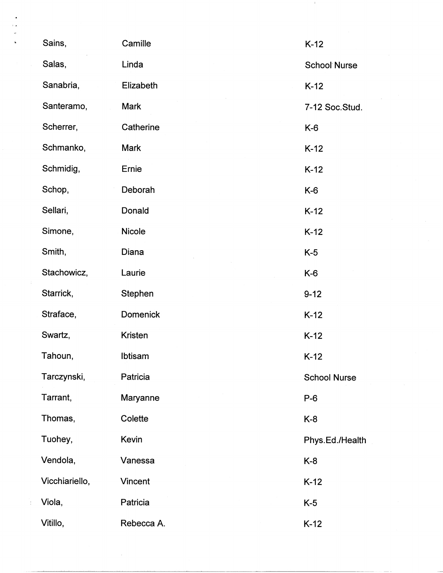| Sains,         | Camille         | $K-12$              |
|----------------|-----------------|---------------------|
| Salas,         | Linda           | <b>School Nurse</b> |
| Sanabria,      | Elizabeth       | $K-12$              |
| Santeramo,     | Mark            | 7-12 Soc.Stud.      |
| Scherrer,      | Catherine       | $K-6$               |
| Schmanko,      | Mark            | $K-12$              |
| Schmidig,      | Ernie           | $K-12$              |
| Schop,         | Deborah         | $K-6$               |
| Sellari,       | Donald          | $K-12$              |
| Simone,        | Nicole          | $K-12$              |
| Smith,         | Diana           | $K-5$               |
| Stachowicz,    | Laurie          | $K-6$               |
| Starrick,      | Stephen         | $9 - 12$            |
| Straface,      | <b>Domenick</b> | $K-12$              |
| Swartz,        | Kristen         | $K-12$              |
| Tahoun,        | Ibtisam         | $K-12$              |
| Tarczynski,    | Patricia        | <b>School Nurse</b> |
| Tarrant,       | Maryanne        | $P-6$               |
| Thomas,        | Colette         | $K-8$               |
| Tuohey,        | Kevin           | Phys.Ed./Health     |
| Vendola,       | Vanessa         | $K-8$               |
| Vicchiariello, | Vincent         | $K-12$              |
| Viola,         | Patricia        | $K-5$               |
| Vitillo,       | Rebecca A.      | $K-12$              |

 $\frac{1}{2}$ 

 $\frac{1}{2}$ 

 $\sim 3$  .